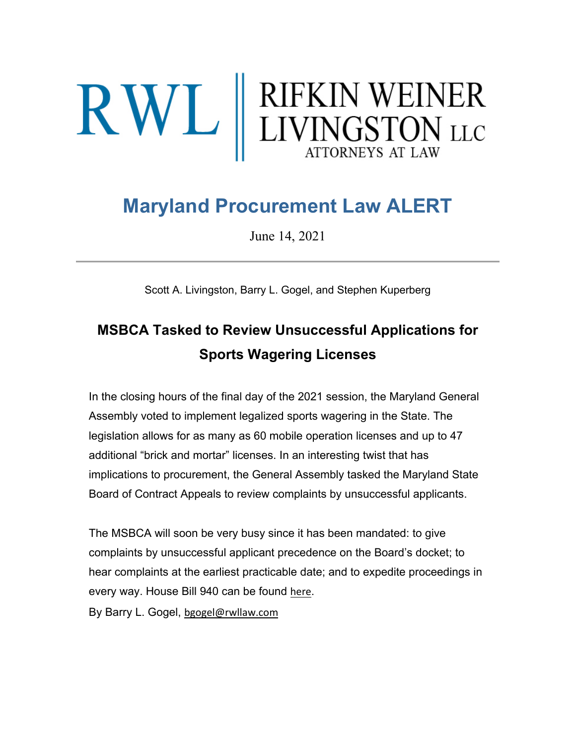# $\mathbf{R}\mathbf{W}\mathbf{L}$  RIFKIN WEINER

# **Maryland Procurement Law ALERT**

June 14, 2021

Scott A. Livingston, Barry L. Gogel, and Stephen Kuperberg

## **MSBCA Tasked to Review Unsuccessful Applications for Sports Wagering Licenses**

In the closing hours of the final day of the 2021 session, the Maryland General Assembly voted to implement legalized sports wagering in the State. The legislation allows for as many as 60 mobile operation licenses and up to 47 additional "brick and mortar" licenses. In an interesting twist that has implications to procurement, the General Assembly tasked the Maryland State Board of Contract Appeals to review complaints by unsuccessful applicants.

The MSBCA will soon be very busy since it has been mandated: to give complaints by unsuccessful applicant precedence on the Board's docket; to hear complaints at the earliest practicable date; and to expedite proceedings in every way. House Bill 940 can be found [here](https://urldefense.proofpoint.com/v2/url?u=https-3A__rwllaw.us17.list-2Dmanage.com_track_click-3Fu-3D54ef6e177bdc9c6b7423b884f-26id-3D2a553622ca-26e-3De1a2d5185f&d=DwMFaQ&c=euGZstcaTDllvimEN8b7jXrwqOf-v5A_CdpgnVfiiMM&r=PniFs5wiIJH0WjwKWsZcKA&m=a7Td8hy5-clY_6r4c03D-WbCRjajH9Yn6h1aQOEJGak&s=wHY20b6dA1ww7tTmdXS5RO20kckHxT7mxdHnICjBOxo&e=).

By Barry L. Gogel, [bgogel@rwllaw.com](mailto:bgogel@rwllaw.com)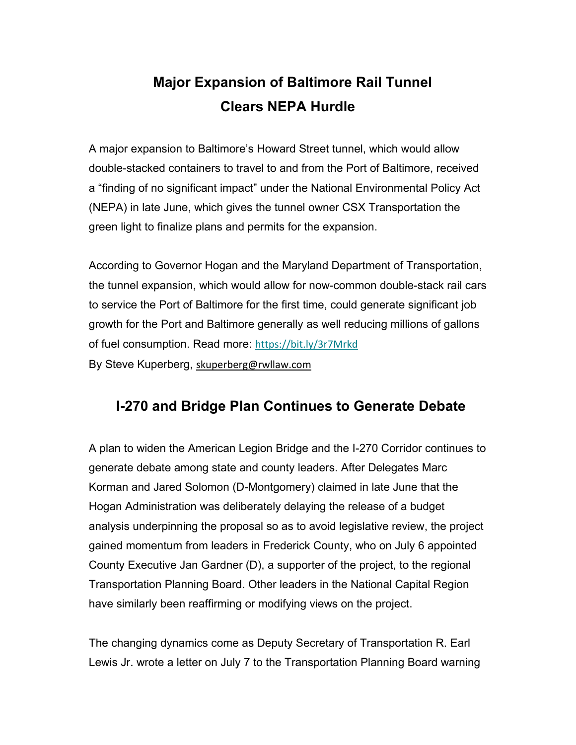## **Major Expansion of Baltimore Rail Tunnel Clears NEPA Hurdle**

A major expansion to Baltimore's Howard Street tunnel, which would allow double-stacked containers to travel to and from the Port of Baltimore, received a "finding of no significant impact" under the National Environmental Policy Act (NEPA) in late June, which gives the tunnel owner CSX Transportation the green light to finalize plans and permits for the expansion.

According to Governor Hogan and the Maryland Department of Transportation, the tunnel expansion, which would allow for now-common double-stack rail cars to service the Port of Baltimore for the first time, could generate significant job growth for the Port and Baltimore generally as well reducing millions of gallons of fuel consumption. Read more: [https://bit.ly/3r7Mrkd](https://urldefense.proofpoint.com/v2/url?u=https-3A__bit.ly_3r7Mrkd&d=DwQFaQ&c=euGZstcaTDllvimEN8b7jXrwqOf-v5A_CdpgnVfiiMM&r=PniFs5wiIJH0WjwKWsZcKA&m=a7Td8hy5-clY_6r4c03D-WbCRjajH9Yn6h1aQOEJGak&s=pHfBVVktnVdEQ2TAGKVysK7M32X_heRf3tQL0Z6hwVw&e=) By Steve Kuperberg, [skuperberg@rwllaw.com](mailto:skuperberg@rwllaw.com)

#### **I-270 and Bridge Plan Continues to Generate Debate**

A plan to widen the American Legion Bridge and the I-270 Corridor continues to generate debate among state and county leaders. After Delegates Marc Korman and Jared Solomon (D-Montgomery) claimed in late June that the Hogan Administration was deliberately delaying the release of a budget analysis underpinning the proposal so as to avoid legislative review, the project gained momentum from leaders in Frederick County, who on July 6 appointed County Executive Jan Gardner (D), a supporter of the project, to the regional Transportation Planning Board. Other leaders in the National Capital Region have similarly been reaffirming or modifying views on the project.

The changing dynamics come as Deputy Secretary of Transportation R. Earl Lewis Jr. wrote a letter on July 7 to the Transportation Planning Board warning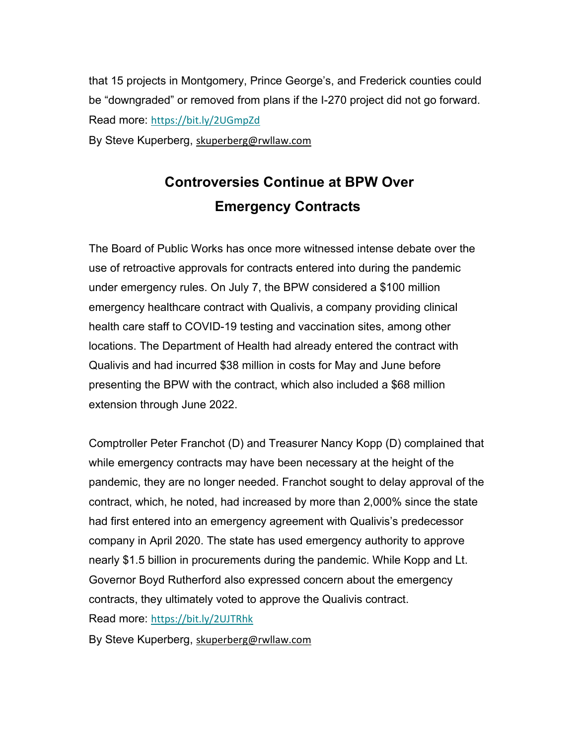that 15 projects in Montgomery, Prince George's, and Frederick counties could be "downgraded" or removed from plans if the I-270 project did not go forward. Read more: [https://bit.ly/2UGmpZd](https://urldefense.proofpoint.com/v2/url?u=https-3A__bit.ly_2UGmpZd&d=DwQFaQ&c=euGZstcaTDllvimEN8b7jXrwqOf-v5A_CdpgnVfiiMM&r=PniFs5wiIJH0WjwKWsZcKA&m=a7Td8hy5-clY_6r4c03D-WbCRjajH9Yn6h1aQOEJGak&s=TxgWsoBhlhmb3Pn4UdYAaCwEkhXXcxxXX4qCL4-V3aA&e=)

By Steve Kuperberg, [skuperberg@rwllaw.com](mailto:skuperberg@rwllaw.com)

## **Controversies Continue at BPW Over Emergency Contracts**

The Board of Public Works has once more witnessed intense debate over the use of retroactive approvals for contracts entered into during the pandemic under emergency rules. On July 7, the BPW considered a \$100 million emergency healthcare contract with Qualivis, a company providing clinical health care staff to COVID-19 testing and vaccination sites, among other locations. The Department of Health had already entered the contract with Qualivis and had incurred \$38 million in costs for May and June before presenting the BPW with the contract, which also included a \$68 million extension through June 2022.

Comptroller Peter Franchot (D) and Treasurer Nancy Kopp (D) complained that while emergency contracts may have been necessary at the height of the pandemic, they are no longer needed. Franchot sought to delay approval of the contract, which, he noted, had increased by more than 2,000% since the state had first entered into an emergency agreement with Qualivis's predecessor company in April 2020. The state has used emergency authority to approve nearly \$1.5 billion in procurements during the pandemic. While Kopp and Lt. Governor Boyd Rutherford also expressed concern about the emergency contracts, they ultimately voted to approve the Qualivis contract.

Read more: [https://bit.ly/2UJTRhk](https://urldefense.proofpoint.com/v2/url?u=https-3A__bit.ly_2UJTRhk&d=DwQFaQ&c=euGZstcaTDllvimEN8b7jXrwqOf-v5A_CdpgnVfiiMM&r=PniFs5wiIJH0WjwKWsZcKA&m=a7Td8hy5-clY_6r4c03D-WbCRjajH9Yn6h1aQOEJGak&s=9t1mZZPdGfg-fpgjsZQsS_r9FgTzfZOJoixOyMg5Ie8&e=)

By Steve Kuperberg, [skuperberg@rwllaw.com](mailto:skuperberg@rwllaw.com)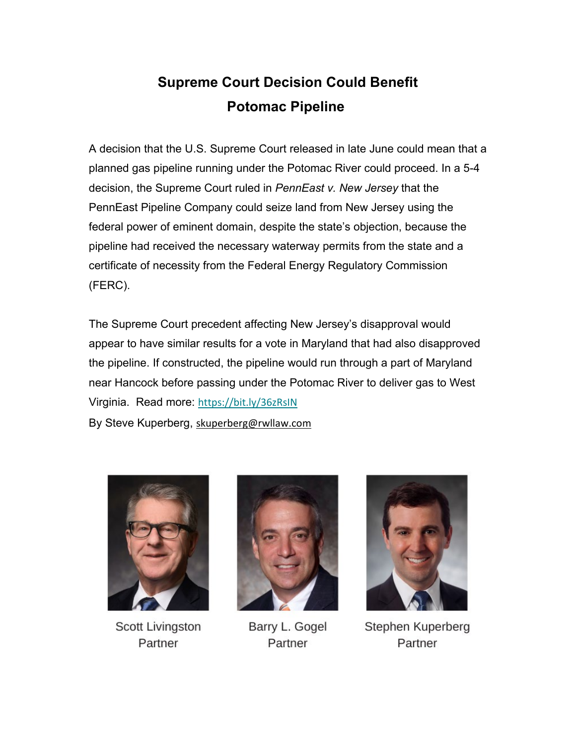### **Supreme Court Decision Could Benefit Potomac Pipeline**

A decision that the U.S. Supreme Court released in late June could mean that a planned gas pipeline running under the Potomac River could proceed. In a 5-4 decision, the Supreme Court ruled in *PennEast v. New Jersey* that the PennEast Pipeline Company could seize land from New Jersey using the federal power of eminent domain, despite the state's objection, because the pipeline had received the necessary waterway permits from the state and a certificate of necessity from the Federal Energy Regulatory Commission (FERC).

The Supreme Court precedent affecting New Jersey's disapproval would appear to have similar results for a vote in Maryland that had also disapproved the pipeline. If constructed, the pipeline would run through a part of Maryland near Hancock before passing under the Potomac River to deliver gas to West Virginia. Read more: [https://bit.ly/36zRsIN](https://urldefense.proofpoint.com/v2/url?u=https-3A__bit.ly_36zRsIN&d=DwQFaQ&c=euGZstcaTDllvimEN8b7jXrwqOf-v5A_CdpgnVfiiMM&r=PniFs5wiIJH0WjwKWsZcKA&m=a7Td8hy5-clY_6r4c03D-WbCRjajH9Yn6h1aQOEJGak&s=4tW1UxKXjW5KGdz_8UcX5m_ZPPa7dzycT7jIYMu2nEA&e=) By Steve Kuperberg, [skuperberg@rwllaw.com](mailto:skuperberg@rwllaw.com)



**Scott Livingston** Partner



Barry L. Gogel Partner



Stephen Kuperberg Partner